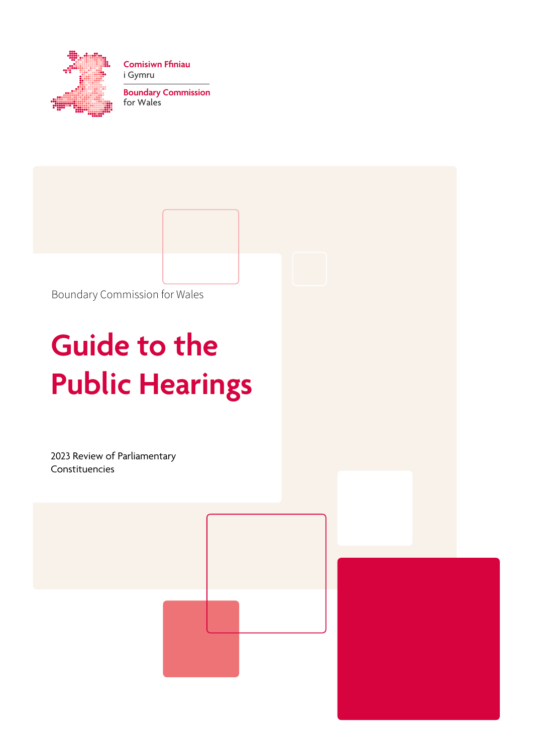

**Comisiwn Ffiniau** i Gymru

**Boundary Commission** for Wales

Boundary Commission for Wales

# **Guide to the Public Hearings**

2023 Review of Parliamentary Constituencies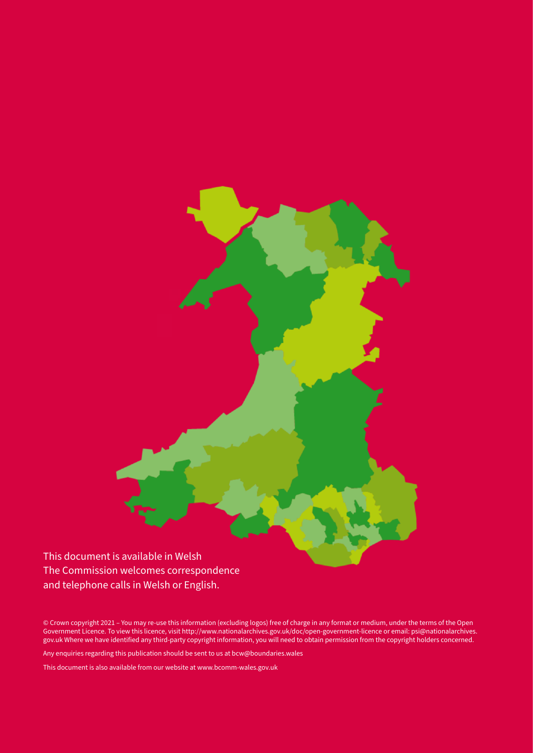

This document is available in Welsh The Commission welcomes correspondence and telephone calls in Welsh or English.

© Crown copyright 2021 – You may re-use this information (excluding logos) free of charge in any format or medium, under the terms of the Open Government Licence. To view this licence, visit http://www.nationalarchives.gov.uk/doc/open-government-licence or email: psi@nationalarchives. gov.uk Where we have identified any third-party copyright information, you will need to obtain permission from the copyright holders concerned.

Any enquiries regarding this publication should be sent to us at bcw@boundaries.wales

This document is also available from our website at www.bcomm-wales.gov.uk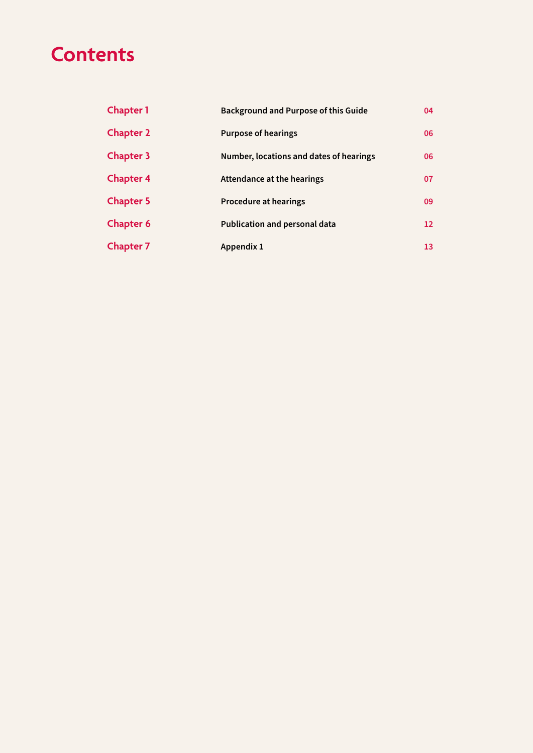## **Contents**

| <b>Chapter 1</b> | <b>Background and Purpose of this Guide</b> | 04              |
|------------------|---------------------------------------------|-----------------|
| <b>Chapter 2</b> | <b>Purpose of hearings</b>                  | 06              |
| <b>Chapter 3</b> | Number, locations and dates of hearings     | 06              |
| <b>Chapter 4</b> | Attendance at the hearings                  | 07              |
| <b>Chapter 5</b> | <b>Procedure at hearings</b>                | 09              |
| <b>Chapter 6</b> | <b>Publication and personal data</b>        | 12 <sup>2</sup> |
| <b>Chapter 7</b> | Appendix 1                                  | 13              |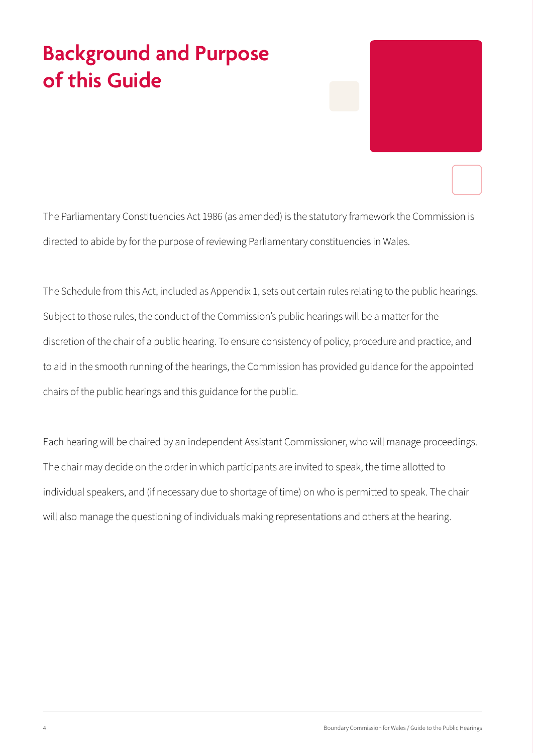# **Background and Purpose of this Guide**

The Parliamentary Constituencies Act 1986 (as amended) is the statutory framework the Commission is directed to abide by for the purpose of reviewing Parliamentary constituencies in Wales.

The Schedule from this Act, included as Appendix 1, sets out certain rules relating to the public hearings. Subject to those rules, the conduct of the Commission's public hearings will be a matter for the discretion of the chair of a public hearing. To ensure consistency of policy, procedure and practice, and to aid in the smooth running of the hearings, the Commission has provided guidance for the appointed chairs of the public hearings and this guidance for the public.

Each hearing will be chaired by an independent Assistant Commissioner, who will manage proceedings. The chair may decide on the order in which participants are invited to speak, the time allotted to individual speakers, and (if necessary due to shortage of time) on who is permitted to speak. The chair will also manage the questioning of individuals making representations and others at the hearing.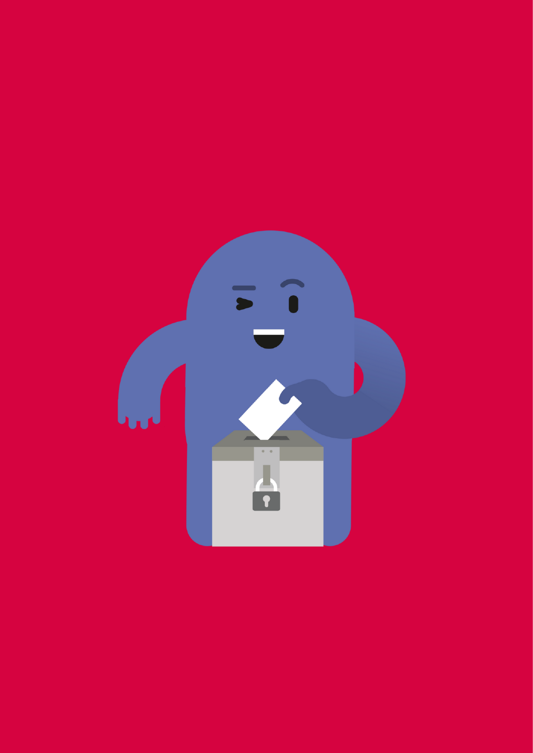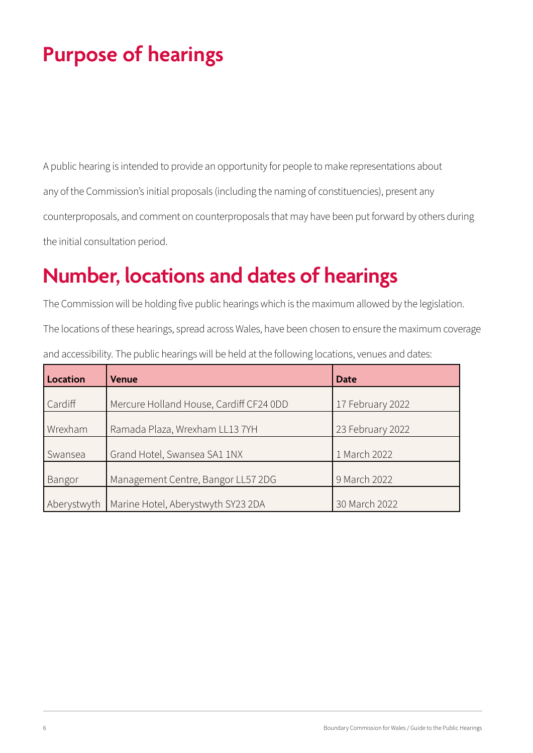# **Purpose of hearings**

A public hearing is intended to provide an opportunity for people to make representations about any of the Commission's initial proposals (including the naming of constituencies), present any counterproposals, and comment on counterproposals that may have been put forward by others during the initial consultation period.

# **Number, locations and dates of hearings**

The Commission will be holding five public hearings which is the maximum allowed by the legislation. The locations of these hearings, spread across Wales, have been chosen to ensure the maximum coverage and accessibility. The public hearings will be held at the following locations, venues and dates:

| Location    | <b>Venue</b>                            | Date             |
|-------------|-----------------------------------------|------------------|
| Cardiff     | Mercure Holland House, Cardiff CF24 0DD | 17 February 2022 |
| Wrexham     | Ramada Plaza, Wrexham LL13 7YH          | 23 February 2022 |
| Swansea     | Grand Hotel, Swansea SA1 1NX            | 1 March 2022     |
| Bangor      | Management Centre, Bangor LL57 2DG      | 9 March 2022     |
| Aberystwyth | Marine Hotel, Aberystwyth SY23 2DA      | 30 March 2022    |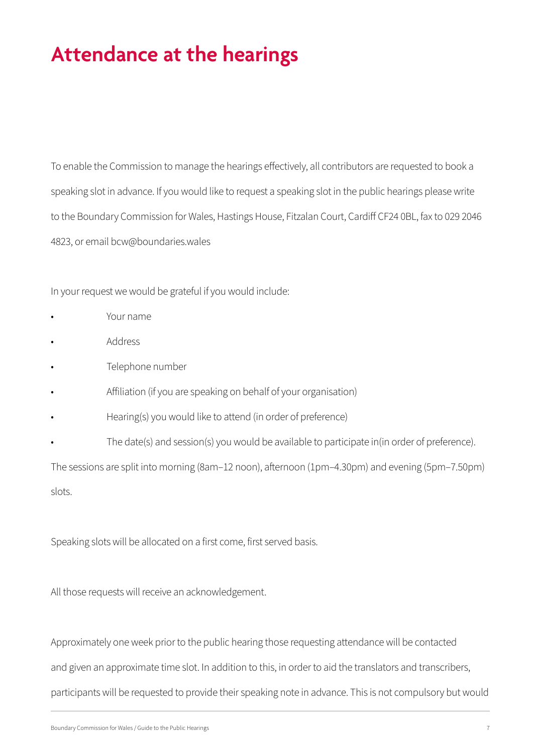# **Attendance at the hearings**

To enable the Commission to manage the hearings effectively, all contributors are requested to book a speaking slot in advance. If you would like to request a speaking slot in the public hearings please write to the Boundary Commission for Wales, Hastings House, Fitzalan Court, Cardiff CF24 0BL, fax to 029 2046 4823, or email bcw@boundaries.wales

In your request we would be grateful if you would include:

- Your name
- Address
- Telephone number
- Affiliation (if you are speaking on behalf of your organisation)
- Hearing(s) you would like to attend (in order of preference)
- The date(s) and session(s) you would be available to participate in(in order of preference).

The sessions are split into morning (8am–12 noon), afternoon (1pm–4.30pm) and evening (5pm–7.50pm) slots.

Speaking slots will be allocated on a first come, first served basis.

All those requests will receive an acknowledgement.

Approximately one week prior to the public hearing those requesting attendance will be contacted and given an approximate time slot. In addition to this, in order to aid the translators and transcribers, participants will be requested to provide their speaking note in advance. This is not compulsory but would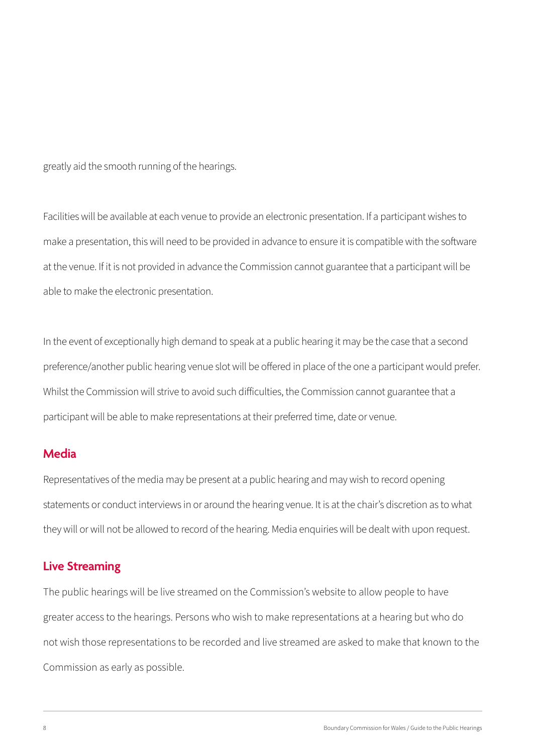greatly aid the smooth running of the hearings.

Facilities will be available at each venue to provide an electronic presentation. If a participant wishes to make a presentation, this will need to be provided in advance to ensure it is compatible with the software at the venue. If it is not provided in advance the Commission cannot guarantee that a participant will be able to make the electronic presentation.

In the event of exceptionally high demand to speak at a public hearing it may be the case that a second preference/another public hearing venue slot will be offered in place of the one a participant would prefer. Whilst the Commission will strive to avoid such difficulties, the Commission cannot guarantee that a participant will be able to make representations at their preferred time, date or venue.

#### **Media**

Representatives of the media may be present at a public hearing and may wish to record opening statements or conduct interviews in or around the hearing venue. It is at the chair's discretion as to what they will or will not be allowed to record of the hearing. Media enquiries will be dealt with upon request.

### **Live Streaming**

The public hearings will be live streamed on the Commission's website to allow people to have greater access to the hearings. Persons who wish to make representations at a hearing but who do not wish those representations to be recorded and live streamed are asked to make that known to the Commission as early as possible.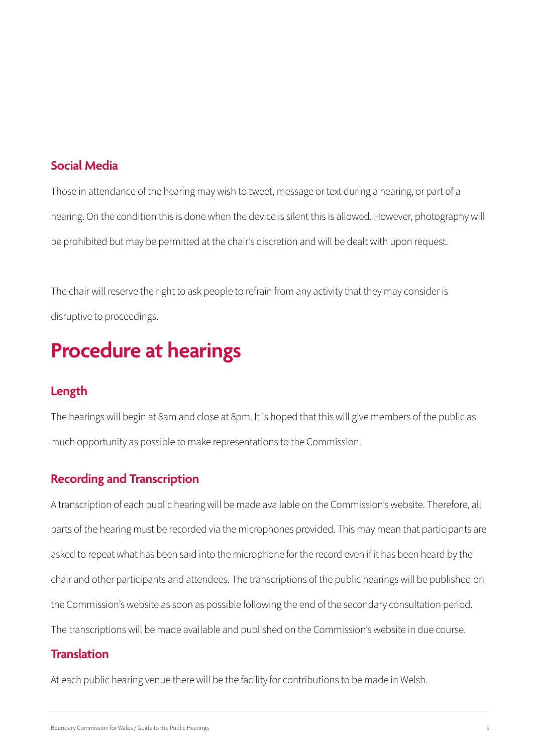### **Social Media**

Those in attendance of the hearing may wish to tweet, message or text during a hearing, or part of a hearing. On the condition this is done when the device is silent this is allowed. However, photography will be prohibited but may be permitted at the chair's discretion and will be dealt with upon request.

The chair will reserve the right to ask people to refrain from any activity that they may consider is disruptive to proceedings.

## **Procedure at hearings**

### **Length**

The hearings will begin at 8am and close at 8pm. It is hoped that this will give members of the public as much opportunity as possible to make representations to the Commission.

### **Recording and Transcription**

A transcription of each public hearing will be made available on the Commission's website. Therefore, all parts of the hearing must be recorded via the microphones provided. This may mean that participants are asked to repeat what has been said into the microphone for the record even if it has been heard by the chair and other participants and attendees. The transcriptions of the public hearings will be published on the Commission's website as soon as possible following the end of the secondary consultation period. The transcriptions will be made available and published on the Commission's website in due course.

### **Translation**

At each public hearing venue there will be the facility for contributions to be made in Welsh.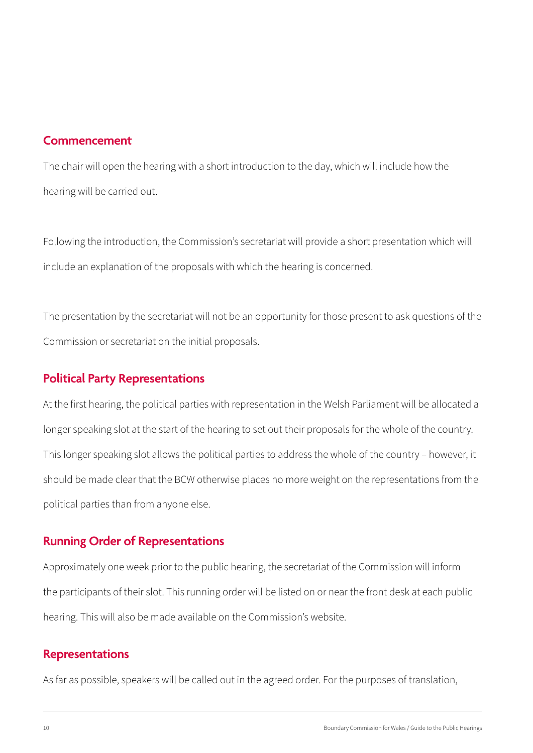#### **Commencement**

The chair will open the hearing with a short introduction to the day, which will include how the hearing will be carried out.

Following the introduction, the Commission's secretariat will provide a short presentation which will include an explanation of the proposals with which the hearing is concerned.

The presentation by the secretariat will not be an opportunity for those present to ask questions of the Commission or secretariat on the initial proposals.

### **Political Party Representations**

At the first hearing, the political parties with representation in the Welsh Parliament will be allocated a longer speaking slot at the start of the hearing to set out their proposals for the whole of the country. This longer speaking slot allows the political parties to address the whole of the country – however, it should be made clear that the BCW otherwise places no more weight on the representations from the political parties than from anyone else.

### **Running Order of Representations**

Approximately one week prior to the public hearing, the secretariat of the Commission will inform the participants of their slot. This running order will be listed on or near the front desk at each public hearing. This will also be made available on the Commission's website.

### **Representations**

As far as possible, speakers will be called out in the agreed order. For the purposes of translation,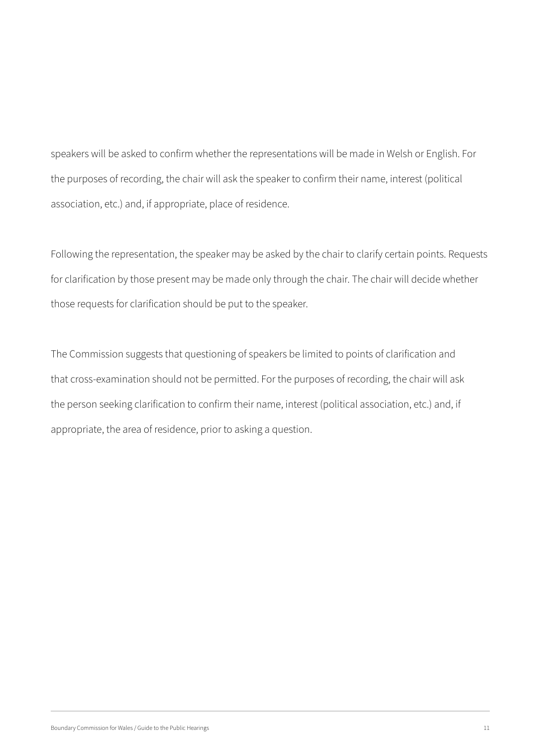speakers will be asked to confirm whether the representations will be made in Welsh or English. For the purposes of recording, the chair will ask the speaker to confirm their name, interest (political association, etc.) and, if appropriate, place of residence.

Following the representation, the speaker may be asked by the chair to clarify certain points. Requests for clarification by those present may be made only through the chair. The chair will decide whether those requests for clarification should be put to the speaker.

The Commission suggests that questioning of speakers be limited to points of clarification and that cross-examination should not be permitted. For the purposes of recording, the chair will ask the person seeking clarification to confirm their name, interest (political association, etc.) and, if appropriate, the area of residence, prior to asking a question.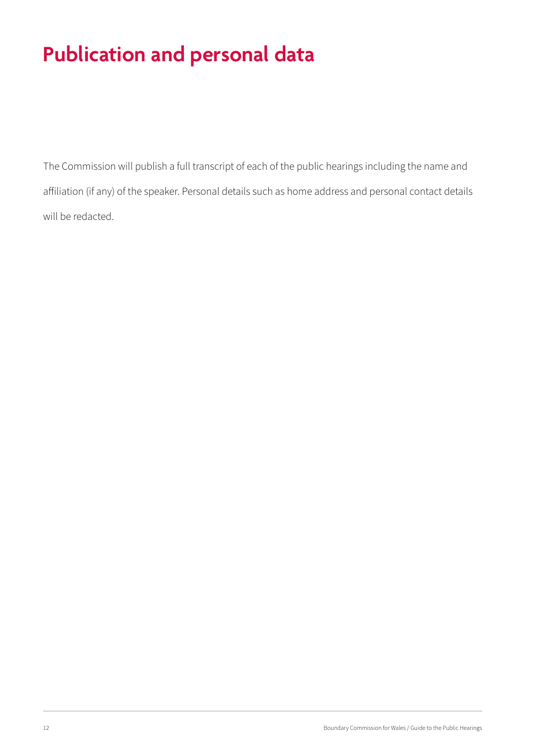# **Publication and personal data**

The Commission will publish a full transcript of each of the public hearings including the name and affiliation (if any) of the speaker. Personal details such as home address and personal contact details will be redacted.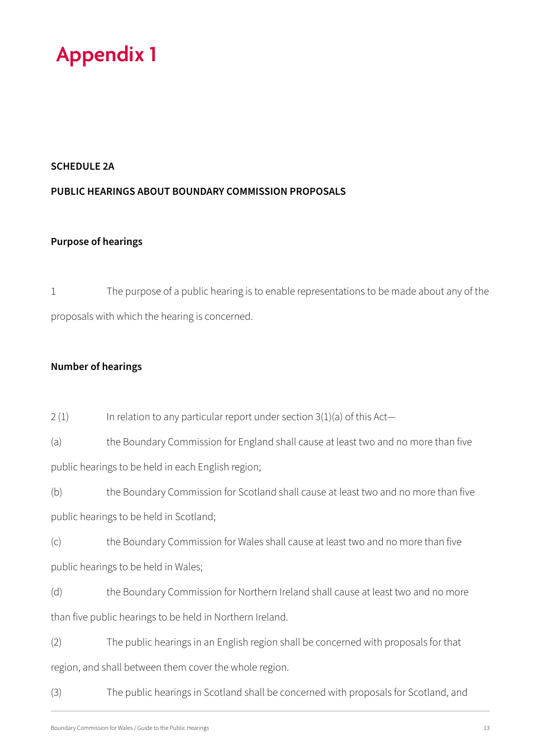# **Appendix 1**

#### **SCHEDULE 2A**

#### **PUBLIC HEARINGS ABOUT BOUNDARY COMMISSION PROPOSALS**

#### **Purpose of hearings**

1 The purpose of a public hearing is to enable representations to be made about any of the proposals with which the hearing is concerned.

#### **Number of hearings**

 $2(1)$  In relation to any particular report under section  $3(1)(a)$  of this Act-

(a) the Boundary Commission for England shall cause at least two and no more than five public hearings to be held in each English region;

(b) the Boundary Commission for Scotland shall cause at least two and no more than five public hearings to be held in Scotland;

(c) the Boundary Commission for Wales shall cause at least two and no more than five public hearings to be held in Wales;

(d) the Boundary Commission for Northern Ireland shall cause at least two and no more than five public hearings to be held in Northern Ireland.

(2) The public hearings in an English region shall be concerned with proposals for that region, and shall between them cover the whole region.

(3) The public hearings in Scotland shall be concerned with proposals for Scotland, and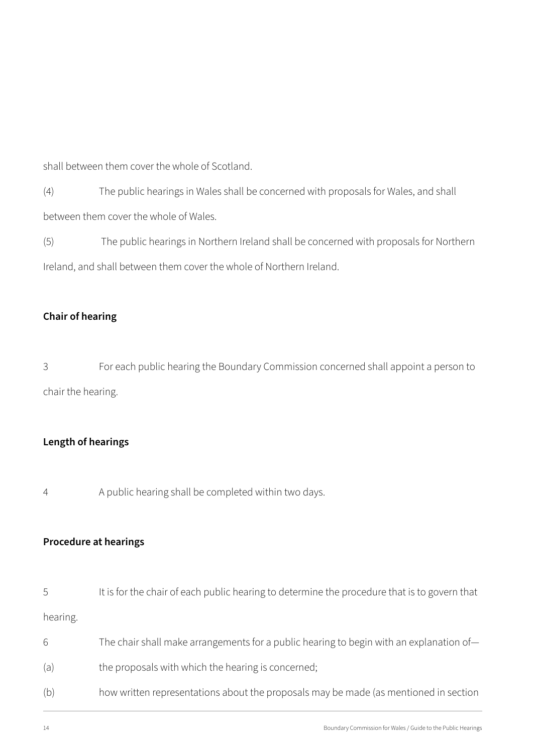shall between them cover the whole of Scotland.

(4) The public hearings in Wales shall be concerned with proposals for Wales, and shall between them cover the whole of Wales.

(5) The public hearings in Northern Ireland shall be concerned with proposals for Northern Ireland, and shall between them cover the whole of Northern Ireland.

### **Chair of hearing**

3 For each public hearing the Boundary Commission concerned shall appoint a person to chair the hearing.

### **Length of hearings**

4 A public hearing shall be completed within two days.

### **Procedure at hearings**

5 It is for the chair of each public hearing to determine the procedure that is to govern that hearing.

- 6 The chair shall make arrangements for a public hearing to begin with an explanation of—
- (a) the proposals with which the hearing is concerned;
- (b) how written representations about the proposals may be made (as mentioned in section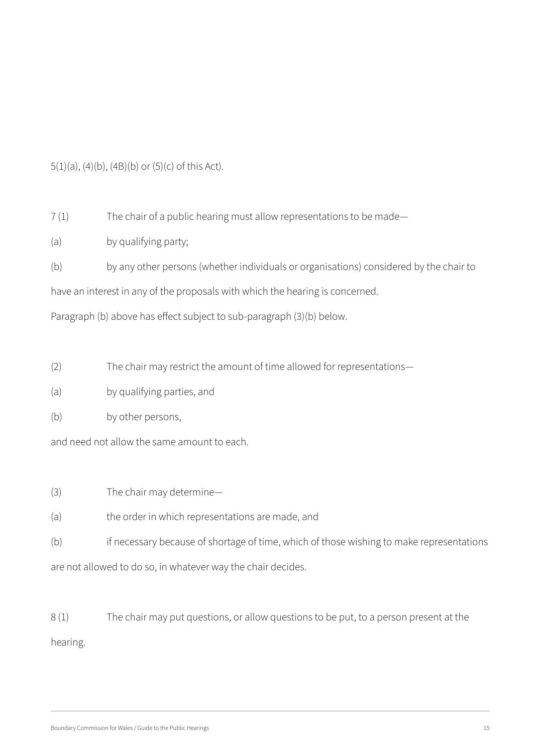5(1)(a), (4)(b), (4B)(b) or (5)(c) of this Act).

7 (1) The chair of a public hearing must allow representations to be made—

(a) by qualifying party;

(b) by any other persons (whether individuals or organisations) considered by the chair to

have an interest in any of the proposals with which the hearing is concerned.

Paragraph (b) above has effect subject to sub-paragraph (3)(b) below.

(2) The chair may restrict the amount of time allowed for representations—

(a) by qualifying parties, and

(b) by other persons,

and need not allow the same amount to each.

(3) The chair may determine—

(a) the order in which representations are made, and

(b) if necessary because of shortage of time, which of those wishing to make representations

are not allowed to do so, in whatever way the chair decides.

8 (1) The chair may put questions, or allow questions to be put, to a person present at the hearing.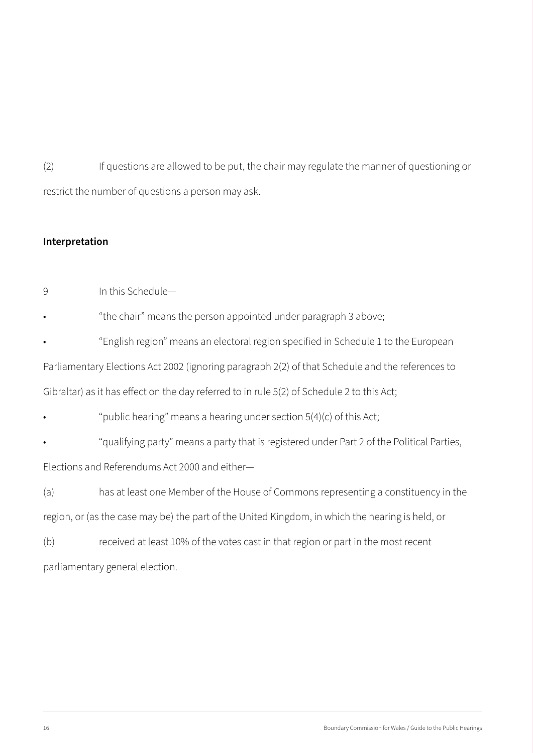(2) If questions are allowed to be put, the chair may regulate the manner of questioning or restrict the number of questions a person may ask.

#### **Interpretation**

9 In this Schedule—

• "the chair" means the person appointed under paragraph 3 above;

• "English region" means an electoral region specified in Schedule 1 to the European Parliamentary Elections Act 2002 (ignoring paragraph 2(2) of that Schedule and the references to Gibraltar) as it has effect on the day referred to in rule 5(2) of Schedule 2 to this Act;

"public hearing" means a hearing under section  $5(4)(c)$  of this Act;

• "qualifying party" means a party that is registered under Part 2 of the Political Parties,

Elections and Referendums Act 2000 and either—

(a) has at least one Member of the House of Commons representing a constituency in the region, or (as the case may be) the part of the United Kingdom, in which the hearing is held, or

(b) received at least 10% of the votes cast in that region or part in the most recent parliamentary general election.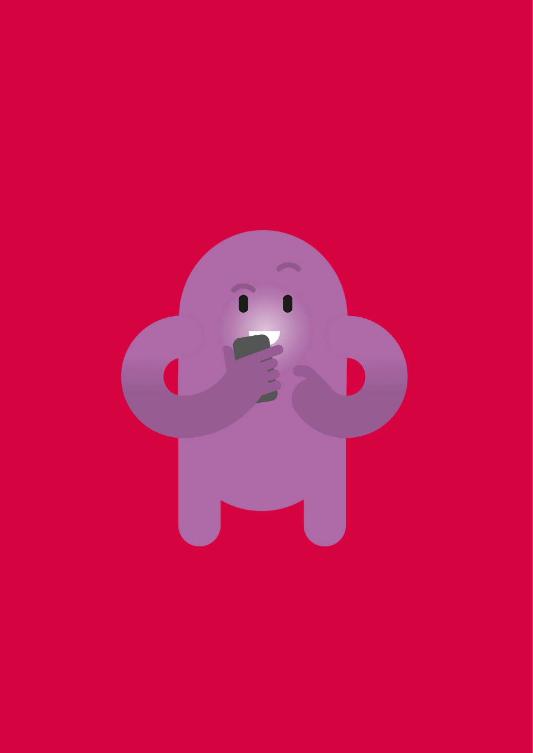